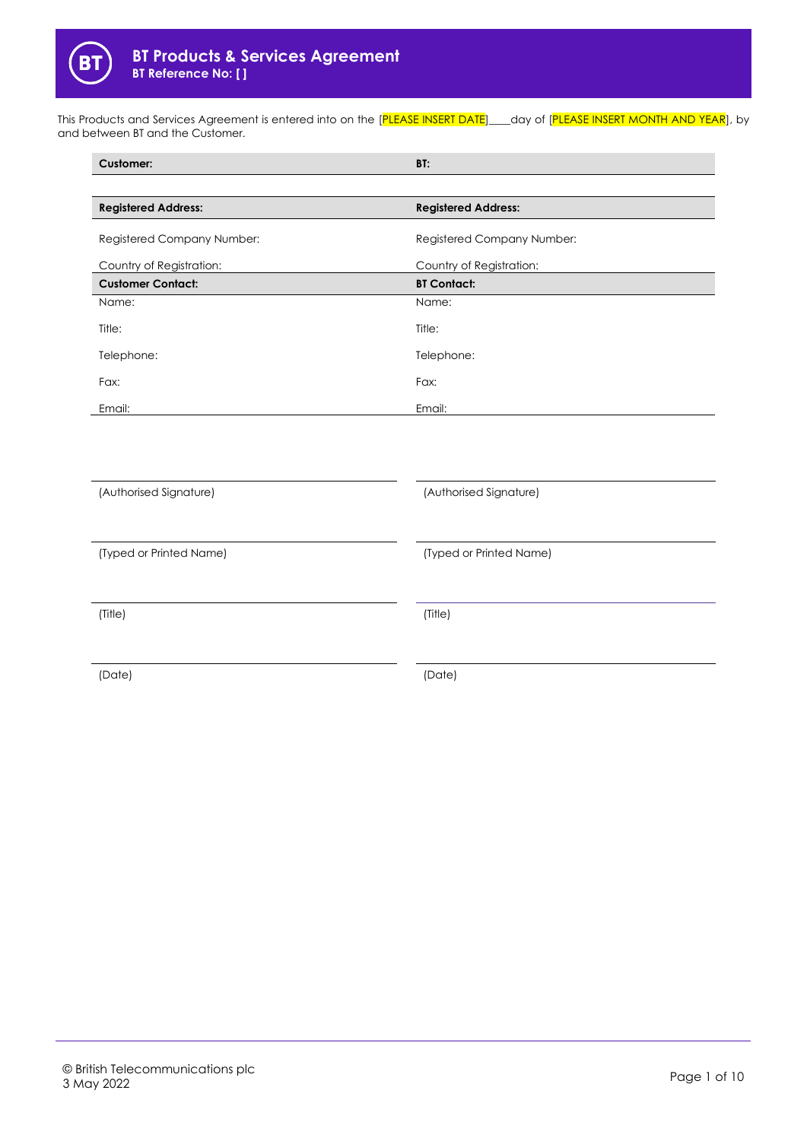

This Products and Services Agreement is entered into on the [PLEASE INSERT DATE]\_\_\_day of [PLEASE INSERT MONTH AND YEAR], by and between BT and the Customer.

| <b>Customer:</b>           | BT:                        |
|----------------------------|----------------------------|
|                            |                            |
| <b>Registered Address:</b> | <b>Registered Address:</b> |
| Registered Company Number: | Registered Company Number: |
| Country of Registration:   | Country of Registration:   |
| <b>Customer Contact:</b>   | <b>BT Contact:</b>         |
| Name:                      | Name:                      |
| Title:                     | Title:                     |
| Telephone:                 | Telephone:                 |
| Fax:                       | Fax:                       |
| Email:                     | Email:                     |
|                            |                            |
| (Authorised Signature)     | (Authorised Signature)     |
| (Typed or Printed Name)    | (Typed or Printed Name)    |
| (Title)                    | (Title)                    |
| (Date)                     | (Date)                     |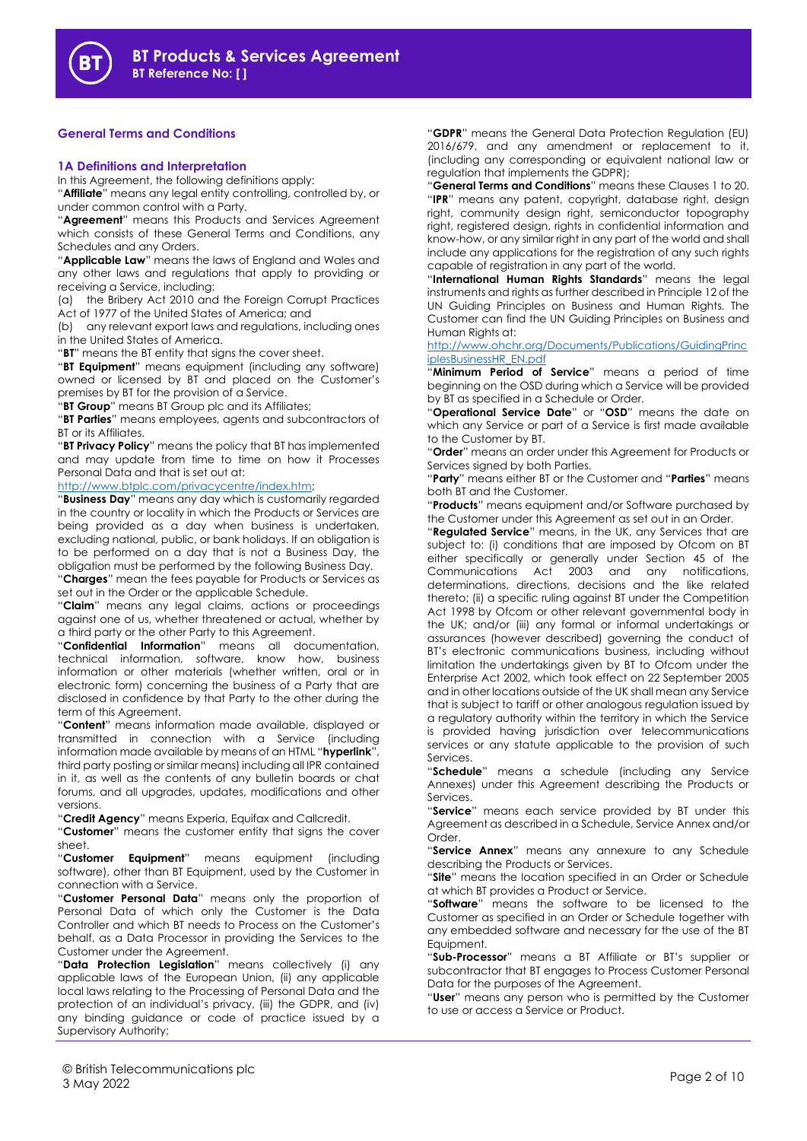

## **General Terms and Conditions**

#### **1A Definitions and Interpretation**

In this Agreement, the following definitions apply:

"**Affiliate**" means any legal entity controlling, controlled by, or under common control with a Party.

"**Agreement**" means this Products and Services Agreement which consists of these General Terms and Conditions, any Schedules and any Orders.

"**Applicable Law**" means the laws of England and Wales and any other laws and regulations that apply to providing or receiving a Service, including:

(a) the Bribery Act 2010 and the Foreign Corrupt Practices Act of 1977 of the United States of America; and

(b) any relevant export laws and regulations, including ones in the United States of America.

"**BT**" means the BT entity that signs the cover sheet.

"**BT Equipment**" means equipment (including any software) owned or licensed by BT and placed on the Customer's premises by BT for the provision of a Service.

"**BT Group**" means BT Group plc and its Affiliates;

"**BT Parties**" means employees, agents and subcontractors of BT or its Affiliates.

"**BT Privacy Policy**" means the policy that BT has implemented and may update from time to time on how it Processes Personal Data and that is set out at:

[http://www.btplc.com/privacycentre/index.htm;](http://www.btplc.com/privacycentre/index.htm)

"**Business Day**" means any day which is customarily regarded in the country or locality in which the Products or Services are being provided as a day when business is undertaken, excluding national, public, or bank holidays. If an obligation is to be performed on a day that is not a Business Day, the obligation must be performed by the following Business Day.

"**Charges**" mean the fees payable for Products or Services as set out in the Order or the applicable Schedule.

"**Claim**" means any legal claims, actions or proceedings against one of us, whether threatened or actual, whether by a third party or the other Party to this Agreement.

"**Confidential Information**" means all documentation, technical information, software, know how, business information or other materials (whether written, oral or in electronic form) concerning the business of a Party that are disclosed in confidence by that Party to the other during the term of this Agreement.

"**Content**" means information made available, displayed or transmitted in connection with a Service (including information made available by means of an HTML "**hyperlink**", third party posting or similar means) including all IPR contained in it, as well as the contents of any bulletin boards or chat forums, and all upgrades, updates, modifications and other versions.

"**Credit Agency**" means Experia, Equifax and Callcredit.

"**Customer**" means the customer entity that signs the cover sheet.

"**Customer Equipment**" means equipment (including software), other than BT Equipment, used by the Customer in connection with a Service.

"**Customer Personal Data**" means only the proportion of Personal Data of which only the Customer is the Data Controller and which BT needs to Process on the Customer's behalf, as a Data Processor in providing the Services to the Customer under the Agreement.

"**Data Protection Legislation**" means collectively (i) any applicable laws of the European Union, (ii) any applicable local laws relating to the Processing of Personal Data and the protection of an individual's privacy, (iii) the GDPR, and (iv) any binding guidance or code of practice issued by a Supervisory Authority;

"**GDPR**" means the General Data Protection Regulation (EU) 2016/679, and any amendment or replacement to it, (including any corresponding or equivalent national law or regulation that implements the GDPR);

"**General Terms and Conditions**" means these Clauses 1 to 20. "**IPR**" means any patent, copyright, database right, design right, community design right, semiconductor topography right, registered design, rights in confidential information and know-how, or any similar right in any part of the world and shall include any applications for the registration of any such rights capable of registration in any part of the world.

"**International Human Rights Standards**" means the legal instruments and rights as further described in Principle 12 of the UN Guiding Principles on Business and Human Rights. The Customer can find the UN Guiding Principles on Business and Human Rights at:

[http://www.ohchr.org/Documents/Publications/GuidingPrinc](http://www.ohchr.org/Documents/Publications/GuidingPrinciplesBusinessHR_EN.pdf) [iplesBusinessHR\\_EN.pdf](http://www.ohchr.org/Documents/Publications/GuidingPrinciplesBusinessHR_EN.pdf)

"**Minimum Period of Service**" means a period of time beginning on the OSD during which a Service will be provided by BT as specified in a Schedule or Order.

"**Operational Service Date**" or "**OSD**" means the date on which any Service or part of a Service is first made available to the Customer by BT.

"**Order**" means an order under this Agreement for Products or Services signed by both Parties.

"**Party**" means either BT or the Customer and "**Parties**" means both BT and the Customer.

"**Products**" means equipment and/or Software purchased by the Customer under this Agreement as set out in an Order.

"**Regulated Service**" means, in the UK, any Services that are subject to: (i) conditions that are imposed by Ofcom on BT either specifically or generally under Section 45 of the Communications Act 2003 and any notifications, determinations, directions, decisions and the like related thereto; (ii) a specific ruling against BT under the Competition Act 1998 by Ofcom or other relevant governmental body in the UK; and/or (iii) any formal or informal undertakings or assurances (however described) governing the conduct of BT's electronic communications business, including without limitation the undertakings given by BT to Ofcom under the Enterprise Act 2002, which took effect on 22 September 2005 and in other locations outside of the UK shall mean any Service that is subject to tariff or other analogous regulation issued by a regulatory authority within the territory in which the Service is provided having jurisdiction over telecommunications services or any statute applicable to the provision of such Services.

"**Schedule**" means a schedule (including any Service Annexes) under this Agreement describing the Products or Services.

"**Service**" means each service provided by BT under this Agreement as described in a Schedule, Service Annex and/or Order.

"**Service Annex**" means any annexure to any Schedule describing the Products or Services.

"**Site**" means the location specified in an Order or Schedule at which BT provides a Product or Service.

"**Software**" means the software to be licensed to the Customer as specified in an Order or Schedule together with any embedded software and necessary for the use of the BT Equipment.

"**Sub-Processor**" means a BT Affiliate or BT's supplier or subcontractor that BT engages to Process Customer Personal Data for the purposes of the Agreement.

"**User**" means any person who is permitted by the Customer to use or access a Service or Product.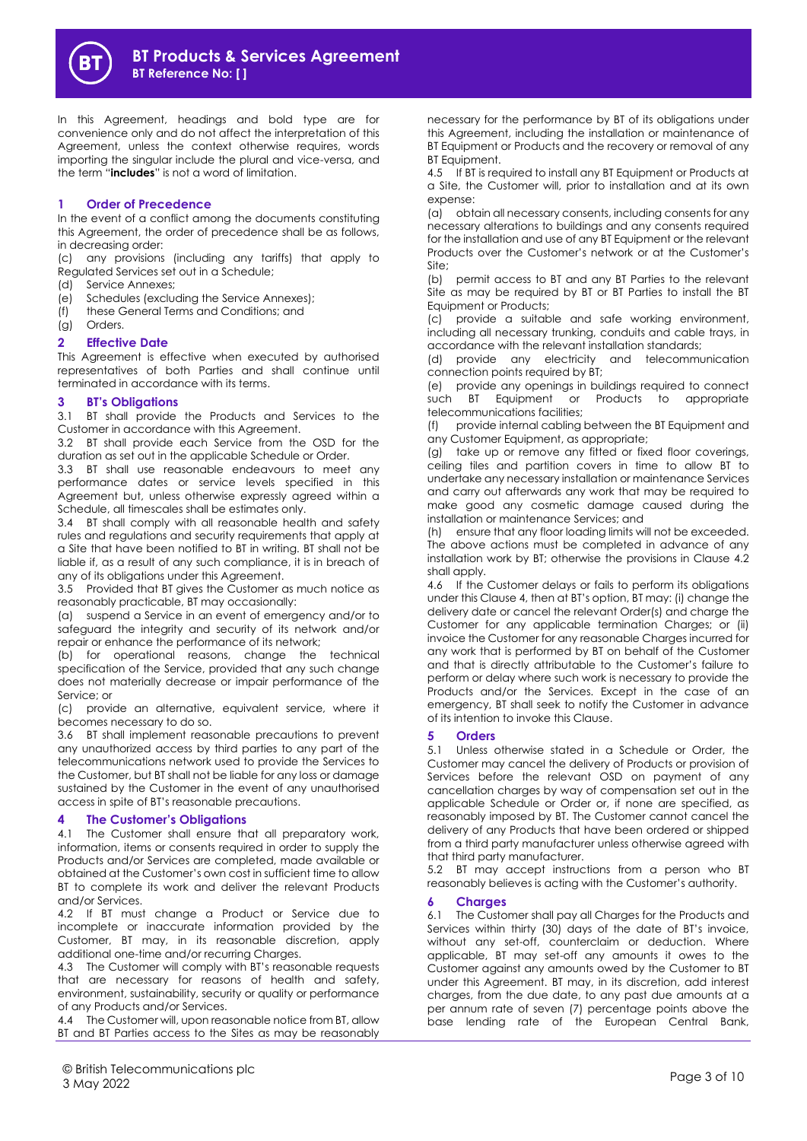

In this Agreement, headings and bold type are for convenience only and do not affect the interpretation of this Agreement, unless the context otherwise requires, words importing the singular include the plural and vice-versa, and the term "**includes**" is not a word of limitation.

## **1 Order of Precedence**

In the event of a conflict among the documents constituting this Agreement, the order of precedence shall be as follows, in decreasing order:

(c) any provisions (including any tariffs) that apply to Regulated Services set out in a Schedule;

- (d) Service Annexes;
- (e) Schedules (excluding the Service Annexes);
- (f) these General Terms and Conditions; and
- (g) Orders.

## **2 Effective Date**

This Agreement is effective when executed by authorised representatives of both Parties and shall continue until terminated in accordance with its terms.

## **3 BT's Obligations**

3.1 BT shall provide the Products and Services to the Customer in accordance with this Agreement.

3.2 BT shall provide each Service from the OSD for the duration as set out in the applicable Schedule or Order.

3.3 BT shall use reasonable endeavours to meet any performance dates or service levels specified in this Agreement but, unless otherwise expressly agreed within a Schedule, all timescales shall be estimates only.

3.4 BT shall comply with all reasonable health and safety rules and regulations and security requirements that apply at a Site that have been notified to BT in writing. BT shall not be liable if, as a result of any such compliance, it is in breach of any of its obligations under this Agreement.

3.5 Provided that BT gives the Customer as much notice as reasonably practicable, BT may occasionally:

(a) suspend a Service in an event of emergency and/or to safeguard the integrity and security of its network and/or repair or enhance the performance of its network;

(b) for operational reasons, change the technical specification of the Service, provided that any such change does not materially decrease or impair performance of the Service; or

(c) provide an alternative, equivalent service, where it becomes necessary to do so.

3.6 BT shall implement reasonable precautions to prevent any unauthorized access by third parties to any part of the telecommunications network used to provide the Services to the Customer, but BT shall not be liable for any loss or damage sustained by the Customer in the event of any unauthorised access in spite of BT's reasonable precautions.

## **4 The Customer's Obligations**

4.1 The Customer shall ensure that all preparatory work, information, items or consents required in order to supply the Products and/or Services are completed, made available or obtained at the Customer's own cost in sufficient time to allow BT to complete its work and deliver the relevant Products and/or Services.

4.2 If BT must change a Product or Service due to incomplete or inaccurate information provided by the Customer, BT may, in its reasonable discretion, apply additional one-time and/or recurring Charges.

4.3 The Customer will comply with BT's reasonable requests that are necessary for reasons of health and safety, environment, sustainability, security or quality or performance of any Products and/or Services.

4.4 The Customer will, upon reasonable notice from BT, allow BT and BT Parties access to the Sites as may be reasonably

necessary for the performance by BT of its obligations under this Agreement, including the installation or maintenance of BT Equipment or Products and the recovery or removal of any BT Equipment.

4.5 If BT is required to install any BT Equipment or Products at a Site, the Customer will, prior to installation and at its own expense:

(a) obtain all necessary consents, including consents for any necessary alterations to buildings and any consents required for the installation and use of any BT Equipment or the relevant Products over the Customer's network or at the Customer's Site;

(b) permit access to BT and any BT Parties to the relevant Site as may be required by BT or BT Parties to install the BT Equipment or Products;

(c) provide a suitable and safe working environment, including all necessary trunking, conduits and cable trays, in accordance with the relevant installation standards;

(d) provide any electricity and telecommunication connection points required by BT;

(e) provide any openings in buildings required to connect such BT Equipment or Products to appropriate telecommunications facilities;

(f) provide internal cabling between the BT Equipment and any Customer Equipment, as appropriate;

(g) take up or remove any fitted or fixed floor coverings, ceiling tiles and partition covers in time to allow BT to undertake any necessary installation or maintenance Services and carry out afterwards any work that may be required to make good any cosmetic damage caused during the installation or maintenance Services; and

(h) ensure that any floor loading limits will not be exceeded. The above actions must be completed in advance of any installation work by BT; otherwise the provisions in Clause 4.2 shall apply.

4.6 If the Customer delays or fails to perform its obligations under this Clause 4, then at BT's option, BT may: (i) change the delivery date or cancel the relevant Order(s) and charge the Customer for any applicable termination Charges; or (ii) invoice the Customer for any reasonable Charges incurred for any work that is performed by BT on behalf of the Customer and that is directly attributable to the Customer's failure to perform or delay where such work is necessary to provide the Products and/or the Services. Except in the case of an emergency, BT shall seek to notify the Customer in advance of its intention to invoke this Clause.

# **5 Orders**

Unless otherwise stated in a Schedule or Order, the Customer may cancel the delivery of Products or provision of Services before the relevant OSD on payment of any cancellation charges by way of compensation set out in the applicable Schedule or Order or, if none are specified, as reasonably imposed by BT. The Customer cannot cancel the delivery of any Products that have been ordered or shipped from a third party manufacturer unless otherwise agreed with that third party manufacturer.

5.2 BT may accept instructions from a person who BT reasonably believes is acting with the Customer's authority.

## <span id="page-2-0"></span>**6 Charges**

6.1 The Customer shall pay all Charges for the Products and Services within thirty (30) days of the date of BT's invoice, without any set-off, counterclaim or deduction. Where applicable, BT may set-off any amounts it owes to the Customer against any amounts owed by the Customer to BT under this Agreement. BT may, in its discretion, add interest charges, from the due date, to any past due amounts at a per annum rate of seven (7) percentage points above the base lending rate of the European Central Bank,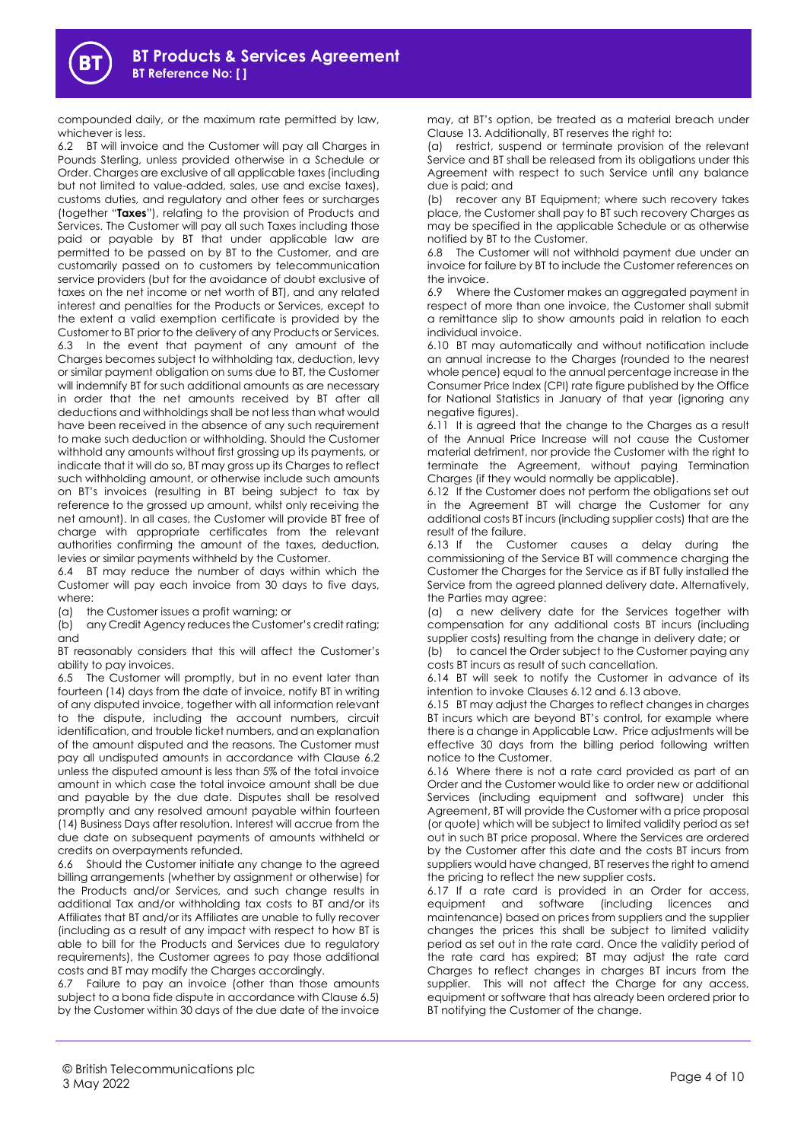compounded daily, or the maximum rate permitted by law, whichever is less.

6.2 BT will invoice and the Customer will pay all Charges in Pounds Sterling, unless provided otherwise in a Schedule or Order. Charges are exclusive of all applicable taxes (including but not limited to value-added, sales, use and excise taxes), customs duties, and regulatory and other fees or surcharges (together "**Taxes**"), relating to the provision of Products and Services. The Customer will pay all such Taxes including those paid or payable by BT that under applicable law are permitted to be passed on by BT to the Customer, and are customarily passed on to customers by telecommunication service providers (but for the avoidance of doubt exclusive of taxes on the net income or net worth of BT), and any related interest and penalties for the Products or Services, except to the extent a valid exemption certificate is provided by the Customer to BT prior to the delivery of any Products or Services. 6.3 In the event that payment of any amount of the Charges becomes subject to withholding tax, deduction, levy or similar payment obligation on sums due to BT, the Customer will indemnify BT for such additional amounts as are necessary in order that the net amounts received by BT after all deductions and withholdings shall be not less than what would have been received in the absence of any such requirement to make such deduction or withholding. Should the Customer withhold any amounts without first grossing up its payments, or indicate that it will do so, BT may gross up its Charges to reflect such withholding amount, or otherwise include such amounts on BT's invoices (resulting in BT being subject to tax by reference to the grossed up amount, whilst only receiving the net amount). In all cases, the Customer will provide BT free of charge with appropriate certificates from the relevant authorities confirming the amount of the taxes, deduction, levies or similar payments withheld by the Customer.

6.4 BT may reduce the number of days within which the Customer will pay each invoice from 30 days to five days, where:

(a) the Customer issues a profit warning; or

(b) any Credit Agency reduces the Customer's credit rating; and

BT reasonably considers that this will affect the Customer's ability to pay invoices.

6.5 The Customer will promptly, but in no event later than fourteen (14) days from the date of invoice, notify BT in writing of any disputed invoice, together with all information relevant to the dispute, including the account numbers, circuit identification, and trouble ticket numbers, and an explanation of the amount disputed and the reasons. The Customer must pay all undisputed amounts in accordance with Clause 6.2 unless the disputed amount is less than 5% of the total invoice amount in which case the total invoice amount shall be due and payable by the due date. Disputes shall be resolved promptly and any resolved amount payable within fourteen (14) Business Days after resolution. Interest will accrue from the due date on subsequent payments of amounts withheld or credits on overpayments refunded.

6.6 Should the Customer initiate any change to the agreed billing arrangements (whether by assignment or otherwise) for the Products and/or Services, and such change results in additional Tax and/or withholding tax costs to BT and/or its Affiliates that BT and/or its Affiliates are unable to fully recover (including as a result of any impact with respect to how BT is able to bill for the Products and Services due to regulatory requirements), the Customer agrees to pay those additional costs and BT may modify the Charges accordingly.

6.7 Failure to pay an invoice (other than those amounts subject to a bona fide dispute in accordance with Clause 6.5) by the Customer within 30 days of the due date of the invoice

may, at BT's option, be treated as a material breach under Clause 13. Additionally, BT reserves the right to:

(a) restrict, suspend or terminate provision of the relevant Service and BT shall be released from its obligations under this Agreement with respect to such Service until any balance due is paid; and

(b) recover any BT Equipment; where such recovery takes place, the Customer shall pay to BT such recovery Charges as may be specified in the applicable Schedule or as otherwise notified by BT to the Customer.

6.8 The Customer will not withhold payment due under an invoice for failure by BT to include the Customer references on the invoice.

6.9 Where the Customer makes an aggregated payment in respect of more than one invoice, the Customer shall submit a remittance slip to show amounts paid in relation to each individual invoice.

6.10 BT may automatically and without notification include an annual increase to the Charges (rounded to the nearest whole pence) equal to the annual percentage increase in the Consumer Price Index (CPI) rate figure published by the Office for National Statistics in January of that year (ignoring any negative figures).

6.11 It is agreed that the change to the Charges as a result of the Annual Price Increase will not cause the Customer material detriment, nor provide the Customer with the right to terminate the Agreement, without paying Termination Charges (if they would normally be applicable).

<span id="page-3-0"></span>6.12 If the Customer does not perform the obligations set out in the Agreement BT will charge the Customer for any additional costs BT incurs (including supplier costs) that are the result of the failure.

<span id="page-3-1"></span>6.13 If the Customer causes a delay during the commissioning of the Service BT will commence charging the Customer the Charges for the Service as if BT fully installed the Service from the agreed planned delivery date. Alternatively, the Parties may agree:

(a) a new delivery date for the Services together with compensation for any additional costs BT incurs (including supplier costs) resulting from the change in delivery date; or

(b) to cancel the Order subject to the Customer paying any costs BT incurs as result of such cancellation.

6.14 BT will seek to notify the Customer in advance of its intention to invoke Clause[s 6.12](#page-3-0) and [6.13](#page-3-1) above.

6.15 BT may adjust the Charges to reflect changes in charges BT incurs which are beyond BT's control, for example where there is a change in Applicable Law. Price adjustments will be effective 30 days from the billing period following written notice to the Customer.

6.16 Where there is not a rate card provided as part of an Order and the Customer would like to order new or additional Services (including equipment and software) under this Agreement, BT will provide the Customer with a price proposal (or quote) which will be subject to limited validity period as set out in such BT price proposal. Where the Services are ordered by the Customer after this date and the costs BT incurs from suppliers would have changed, BT reserves the right to amend the pricing to reflect the new supplier costs.

6.17 If a rate card is provided in an Order for access, equipment and software (including licences and maintenance) based on prices from suppliers and the supplier changes the prices this shall be subject to limited validity period as set out in the rate card. Once the validity period of the rate card has expired; BT may adjust the rate card Charges to reflect changes in charges BT incurs from the supplier. This will not affect the Charge for any access, equipment or software that has already been ordered prior to BT notifying the Customer of the change.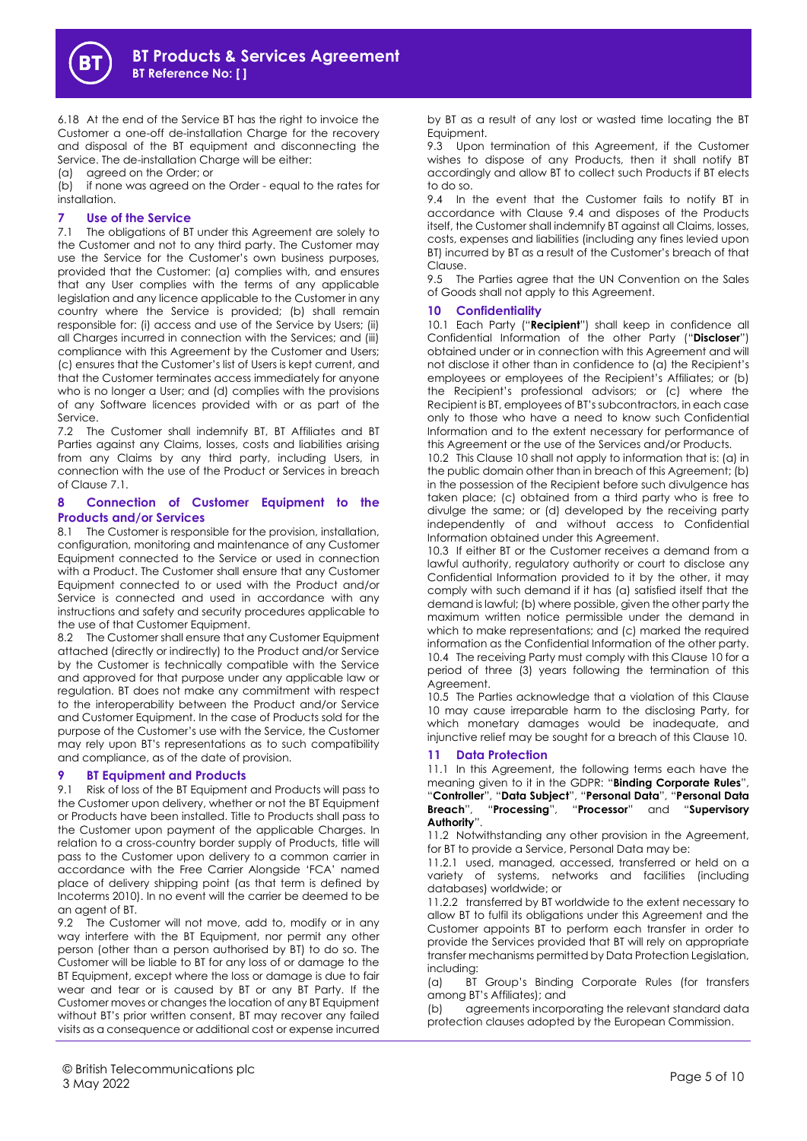

6.18 At the end of the Service BT has the right to invoice the Customer a one-off de-installation Charge for the recovery and disposal of the BT equipment and disconnecting the Service. The de-installation Charge will be either:

(a) agreed on the Order; or

(b) if none was agreed on the Order - equal to the rates for installation.

## **7 Use of the Service**

7.1 The obligations of BT under this Agreement are solely to the Customer and not to any third party. The Customer may use the Service for the Customer's own business purposes, provided that the Customer: (a) complies with, and ensures that any User complies with the terms of any applicable legislation and any licence applicable to the Customer in any country where the Service is provided; (b) shall remain responsible for: (i) access and use of the Service by Users; (ii) all Charges incurred in connection with the Services; and (iii) compliance with this Agreement by the Customer and Users; (c) ensures that the Customer's list of Users is kept current, and that the Customer terminates access immediately for anyone who is no longer a User; and (d) complies with the provisions of any Software licences provided with or as part of the Service.

7.2 The Customer shall indemnify BT, BT Affiliates and BT Parties against any Claims, losses, costs and liabilities arising from any Claims by any third party, including Users, in connection with the use of the Product or Services in breach of Clause 7.1.

## **8 Connection of Customer Equipment to the Products and/or Services**

8.1 The Customer is responsible for the provision, installation, configuration, monitoring and maintenance of any Customer Equipment connected to the Service or used in connection with a Product. The Customer shall ensure that any Customer Equipment connected to or used with the Product and/or Service is connected and used in accordance with any instructions and safety and security procedures applicable to the use of that Customer Equipment.

8.2 The Customer shall ensure that any Customer Equipment attached (directly or indirectly) to the Product and/or Service by the Customer is technically compatible with the Service and approved for that purpose under any applicable law or regulation. BT does not make any commitment with respect to the interoperability between the Product and/or Service and Customer Equipment. In the case of Products sold for the purpose of the Customer's use with the Service, the Customer may rely upon BT's representations as to such compatibility and compliance, as of the date of provision.

# **9 BT Equipment and Products**

9.1 Risk of loss of the BT Equipment and Products will pass to the Customer upon delivery, whether or not the BT Equipment or Products have been installed. Title to Products shall pass to the Customer upon payment of the applicable Charges. In relation to a cross-country border supply of Products, title will pass to the Customer upon delivery to a common carrier in accordance with the Free Carrier Alongside 'FCA' named place of delivery shipping point (as that term is defined by Incoterms 2010). In no event will the carrier be deemed to be an agent of BT.

9.2 The Customer will not move, add to, modify or in any way interfere with the BT Equipment, nor permit any other person (other than a person authorised by BT) to do so. The Customer will be liable to BT for any loss of or damage to the BT Equipment, except where the loss or damage is due to fair wear and tear or is caused by BT or any BT Party. If the Customer moves or changes the location of any BT Equipment without BT's prior written consent, BT may recover any failed visits as a consequence or additional cost or expense incurred

by BT as a result of any lost or wasted time locating the BT Equipment.

9.3 Upon termination of this Agreement, if the Customer wishes to dispose of any Products, then it shall notify BT accordingly and allow BT to collect such Products if BT elects to do so.

9.4 In the event that the Customer fails to notify BT in accordance with Clause 9.4 and disposes of the Products itself, the Customer shall indemnify BT against all Claims, losses, costs, expenses and liabilities (including any fines levied upon BT) incurred by BT as a result of the Customer's breach of that Clause.

9.5 The Parties agree that the UN Convention on the Sales of Goods shall not apply to this Agreement.

## **10 Confidentiality**

10.1 Each Party ("**Recipient**") shall keep in confidence all Confidential Information of the other Party ("**Discloser**") obtained under or in connection with this Agreement and will not disclose it other than in confidence to (a) the Recipient's employees or employees of the Recipient's Affiliates; or (b) the Recipient's professional advisors; or (c) where the Recipient is BT, employees of BT's subcontractors, in each case only to those who have a need to know such Confidential Information and to the extent necessary for performance of this Agreement or the use of the Services and/or Products.

10.2 This Clause 10 shall not apply to information that is: (a) in the public domain other than in breach of this Agreement; (b) in the possession of the Recipient before such divulgence has taken place; (c) obtained from a third party who is free to divulge the same; or (d) developed by the receiving party independently of and without access to Confidential Information obtained under this Agreement.

10.3 If either BT or the Customer receives a demand from a lawful authority, regulatory authority or court to disclose any Confidential Information provided to it by the other, it may comply with such demand if it has (a) satisfied itself that the demand is lawful; (b) where possible, given the other party the maximum written notice permissible under the demand in which to make representations; and (c) marked the required information as the Confidential Information of the other party. 10.4 The receiving Party must comply with this Clause 10 for a period of three (3) years following the termination of this Agreement.

10.5 The Parties acknowledge that a violation of this Clause 10 may cause irreparable harm to the disclosing Party, for which monetary damages would be inadequate, and injunctive relief may be sought for a breach of this Clause 10.

# **11 Data Protection**

11.1 In this Agreement, the following terms each have the meaning given to it in the GDPR: "**Binding Corporate Rules**", "**Controller**", "**Data Subject**", "**Personal Data**", "**Personal Data Breach**", "**Processing**", "**Processor**" and "**Supervisory Authority**".

11.2 Notwithstanding any other provision in the Agreement, for BT to provide a Service, Personal Data may be:

11.2.1 used, managed, accessed, transferred or held on a variety of systems, networks and facilities (including databases) worldwide; or

11.2.2 transferred by BT worldwide to the extent necessary to allow BT to fulfil its obligations under this Agreement and the Customer appoints BT to perform each transfer in order to provide the Services provided that BT will rely on appropriate transfer mechanisms permitted by Data Protection Legislation, including:

(a) BT Group's Binding Corporate Rules (for transfers among BT's Affiliates); and

(b) agreements incorporating the relevant standard data protection clauses adopted by the European Commission.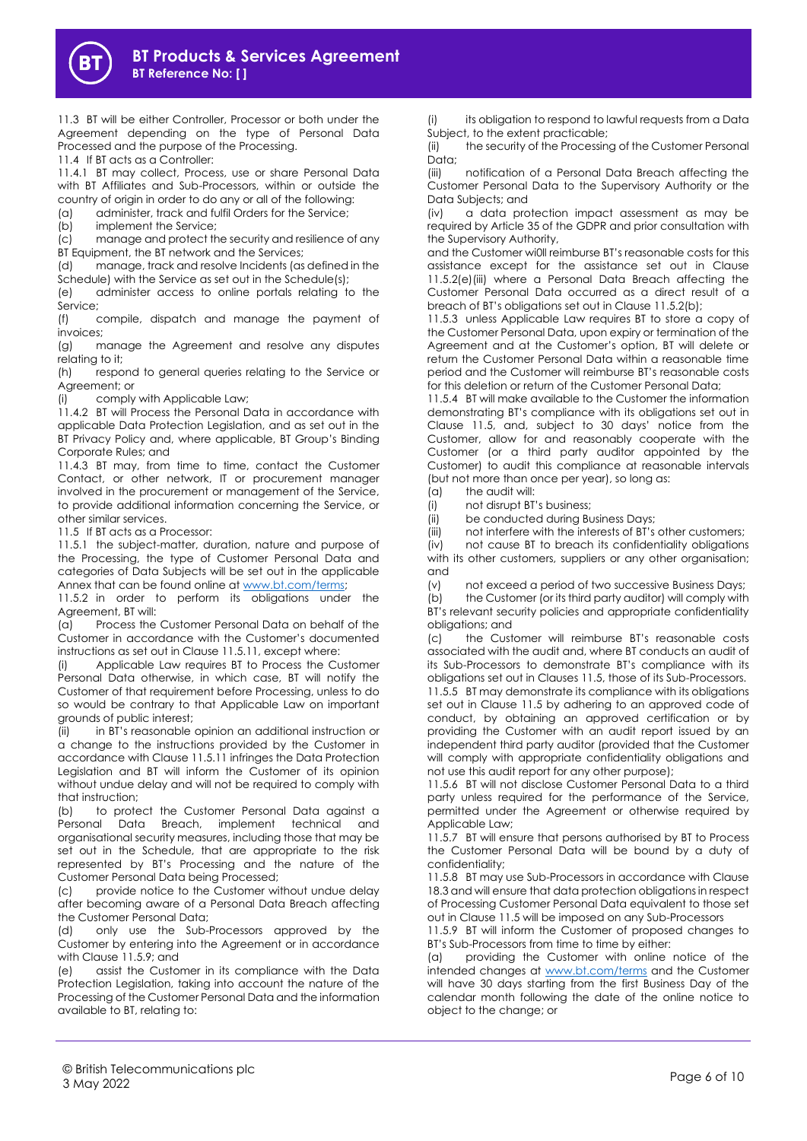

11.3 BT will be either Controller, Processor or both under the Agreement depending on the type of Personal Data Processed and the purpose of the Processing.

11.4 If BT acts as a Controller:

11.4.1 BT may collect, Process, use or share Personal Data with BT Affiliates and Sub-Processors, within or outside the country of origin in order to do any or all of the following:

(a) administer, track and fulfil Orders for the Service;

(b) implement the Service;

(c) manage and protect the security and resilience of any BT Equipment, the BT network and the Services;

(d) manage, track and resolve Incidents (as defined in the Schedule) with the Service as set out in the Schedule(s);

(e) administer access to online portals relating to the Service;

(f) compile, dispatch and manage the payment of invoices;

(g) manage the Agreement and resolve any disputes relating to it;

(h) respond to general queries relating to the Service or Agreement; or

(i) comply with Applicable Law;

11.4.2 BT will Process the Personal Data in accordance with applicable Data Protection Legislation, and as set out in the BT Privacy Policy and, where applicable, BT Group's Binding Corporate Rules; and

11.4.3 BT may, from time to time, contact the Customer Contact, or other network, IT or procurement manager involved in the procurement or management of the Service, to provide additional information concerning the Service, or other similar services.

11.5 If BT acts as a Processor:

11.5.1 the subject-matter, duration, nature and purpose of the Processing, the type of Customer Personal Data and categories of Data Subjects will be set out in the applicable Annex that can be found online a[t www.bt.com/terms;](http://www.bt.com/terms)

11.5.2 in order to perform its obligations under the Agreement, BT will:

(a) Process the Customer Personal Data on behalf of the Customer in accordance with the Customer's documented instructions as set out in Clause 11.5.11, except where:

(i) Applicable Law requires BT to Process the Customer Personal Data otherwise, in which case, BT will notify the Customer of that requirement before Processing, unless to do so would be contrary to that Applicable Law on important grounds of public interest;

(ii) in BT's reasonable opinion an additional instruction or a change to the instructions provided by the Customer in accordance with Clause 11.5.11 infringes the Data Protection Legislation and BT will inform the Customer of its opinion without undue delay and will not be required to comply with that instruction;

(b) to protect the Customer Personal Data against a Personal Data Breach, implement technical and organisational security measures, including those that may be set out in the Schedule, that are appropriate to the risk represented by BT's Processing and the nature of the Customer Personal Data being Processed;

(c) provide notice to the Customer without undue delay after becoming aware of a Personal Data Breach affecting the Customer Personal Data;

(d) only use the Sub-Processors approved by the Customer by entering into the Agreement or in accordance with Clause 11.5.9; and

(e) assist the Customer in its compliance with the Data Protection Legislation, taking into account the nature of the Processing of the Customer Personal Data and the information available to BT, relating to:

its obligation to respond to lawful requests from a Data Subject, to the extent practicable;

(ii) the security of the Processing of the Customer Personal Data;

(iii) notification of a Personal Data Breach affecting the Customer Personal Data to the Supervisory Authority or the Data Subjects; and

(iv) a data protection impact assessment as may be required by Article 35 of the GDPR and prior consultation with the Supervisory Authority,

and the Customer wi0ll reimburse BT's reasonable costs for this assistance except for the assistance set out in Clause 11.5.2(e)(iii) where a Personal Data Breach affecting the Customer Personal Data occurred as a direct result of a breach of BT's obligations set out in Clause 11.5.2(b);

11.5.3 unless Applicable Law requires BT to store a copy of the Customer Personal Data, upon expiry or termination of the Agreement and at the Customer's option, BT will delete or return the Customer Personal Data within a reasonable time period and the Customer will reimburse BT's reasonable costs for this deletion or return of the Customer Personal Data;

11.5.4 BT will make available to the Customer the information demonstrating BT's compliance with its obligations set out in Clause 11.5, and, subject to 30 days' notice from the Customer, allow for and reasonably cooperate with the Customer (or a third party auditor appointed by the Customer) to audit this compliance at reasonable intervals (but not more than once per year), so long as:

(a) the audit will:

(i) not disrupt BT's business;

(ii) be conducted during Business Days;

(iii) not interfere with the interests of BT's other customers;

(iv) not cause BT to breach its confidentiality obligations with its other customers, suppliers or any other organisation; and

(v) not exceed a period of two successive Business Days;

(b) the Customer (or its third party auditor) will comply with BT's relevant security policies and appropriate confidentiality obligations; and

(c) the Customer will reimburse BT's reasonable costs associated with the audit and, where BT conducts an audit of its Sub-Processors to demonstrate BT's compliance with its obligations set out in Clauses 11.5, those of its Sub-Processors.

11.5.5 BT may demonstrate its compliance with its obligations set out in Clause 11.5 by adhering to an approved code of conduct, by obtaining an approved certification or by providing the Customer with an audit report issued by an independent third party auditor (provided that the Customer will comply with appropriate confidentiality obligations and not use this audit report for any other purpose);

11.5.6 BT will not disclose Customer Personal Data to a third party unless required for the performance of the Service, permitted under the Agreement or otherwise required by Applicable Law;

11.5.7 BT will ensure that persons authorised by BT to Process the Customer Personal Data will be bound by a duty of confidentiality;

11.5.8 BT may use Sub-Processors in accordance with Clause 18.3 and will ensure that data protection obligations in respect of Processing Customer Personal Data equivalent to those set out in Clause 11.5 will be imposed on any Sub-Processors

11.5.9 BT will inform the Customer of proposed changes to BT's Sub-Processors from time to time by either:

(a) providing the Customer with online notice of the intended changes at [www.bt.com/terms](http://www.bt.com/terms) and the Customer will have 30 days starting from the first Business Day of the calendar month following the date of the online notice to object to the change; or

© British Telecommunications plc with the common canons picture of the contract of the contract of the Page 6 of 10 Page 6 of 10 Page 6 of 10 Page 6 of 10 Page 6 of 10 Page 8 Of 10 Page 8 Of 10 Page 8 Of 10 Page 8 Of 10 Page 8 Of 10 Page 8 Of 10 Page 8 Of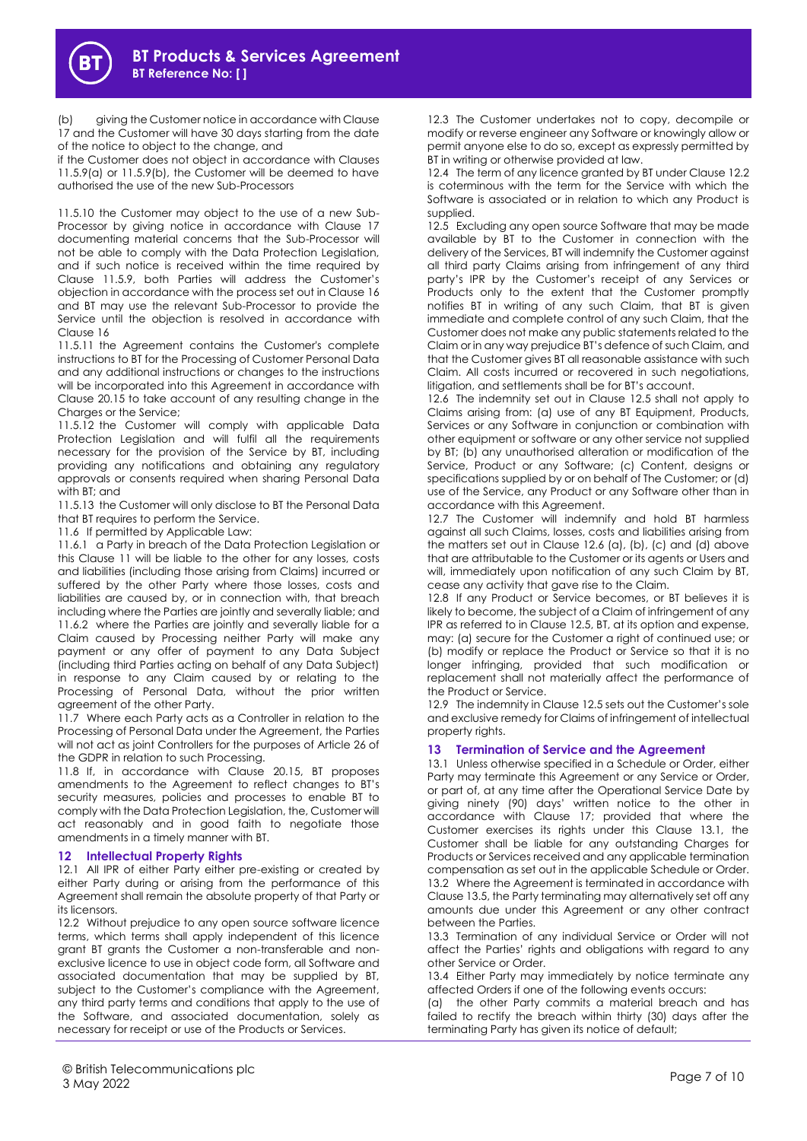(b) giving the Customer notice in accordance with Clause 17 and the Customer will have 30 days starting from the date of the notice to object to the change, and

if the Customer does not object in accordance with Clauses 11.5.9(a) or 11.5.9(b), the Customer will be deemed to have authorised the use of the new Sub-Processors

11.5.10 the Customer may object to the use of a new Sub-Processor by giving notice in accordance with Clause 17 documenting material concerns that the Sub-Processor will not be able to comply with the Data Protection Legislation, and if such notice is received within the time required by Clause 11.5.9, both Parties will address the Customer's objection in accordance with the process set out in Clause 16 and BT may use the relevant Sub-Processor to provide the Service until the objection is resolved in accordance with Clause 16

11.5.11 the Agreement contains the Customer's complete instructions to BT for the Processing of Customer Personal Data and any additional instructions or changes to the instructions will be incorporated into this Agreement in accordance with Clause 20.15 to take account of any resulting change in the Charges or the Service:

11.5.12 the Customer will comply with applicable Data Protection Legislation and will fulfil all the requirements necessary for the provision of the Service by BT, including providing any notifications and obtaining any regulatory approvals or consents required when sharing Personal Data with BT; and

11.5.13 the Customer will only disclose to BT the Personal Data that BT requires to perform the Service.

11.6 If permitted by Applicable Law:

11.6.1 a Party in breach of the Data Protection Leaislation or this Clause 11 will be liable to the other for any losses, costs and liabilities (including those arising from Claims) incurred or suffered by the other Party where those losses, costs and liabilities are caused by, or in connection with, that breach including where the Parties are jointly and severally liable; and 11.6.2 where the Parties are jointly and severally liable for a Claim caused by Processing neither Party will make any payment or any offer of payment to any Data Subject (including third Parties acting on behalf of any Data Subject) in response to any Claim caused by or relating to the Processing of Personal Data, without the prior written agreement of the other Party.

11.7 Where each Party acts as a Controller in relation to the Processing of Personal Data under the Agreement, the Parties will not act as joint Controllers for the purposes of Article 26 of the GDPR in relation to such Processing.

11.8 If, in accordance with Clause 20.15, BT proposes amendments to the Agreement to reflect changes to BT's security measures, policies and processes to enable BT to comply with the Data Protection Legislation, the, Customer will act reasonably and in good faith to negotiate those amendments in a timely manner with BT.

## **12 Intellectual Property Rights**

12.1 All IPR of either Party either pre-existing or created by either Party during or arising from the performance of this Agreement shall remain the absolute property of that Party or its licensors.

12.2 Without prejudice to any open source software licence terms, which terms shall apply independent of this licence grant BT grants the Customer a non-transferable and nonexclusive licence to use in object code form, all Software and associated documentation that may be supplied by BT, subject to the Customer's compliance with the Agreement, any third party terms and conditions that apply to the use of the Software, and associated documentation, solely as necessary for receipt or use of the Products or Services.

12.3 The Customer undertakes not to copy, decompile or modify or reverse engineer any Software or knowingly allow or permit anyone else to do so, except as expressly permitted by BT in writing or otherwise provided at law.

12.4 The term of any licence granted by BT under Clause 12.2 is coterminous with the term for the Service with which the Software is associated or in relation to which any Product is supplied.

12.5 Excluding any open source Software that may be made available by BT to the Customer in connection with the delivery of the Services, BT will indemnify the Customer against all third party Claims arising from infringement of any third party's IPR by the Customer's receipt of any Services or Products only to the extent that the Customer promptly notifies BT in writing of any such Claim, that BT is given immediate and complete control of any such Claim, that the Customer does not make any public statements related to the Claim or in any way prejudice BT's defence of such Claim, and that the Customer gives BT all reasonable assistance with such Claim. All costs incurred or recovered in such negotiations, litigation, and settlements shall be for BT's account.

12.6 The indemnity set out in Clause 12.5 shall not apply to Claims arising from: (a) use of any BT Equipment, Products, Services or any Software in conjunction or combination with other equipment or software or any other service not supplied by BT; (b) any unauthorised alteration or modification of the Service, Product or any Software; (c) Content, designs or specifications supplied by or on behalf of The Customer; or (d) use of the Service, any Product or any Software other than in accordance with this Agreement.

12.7 The Customer will indemnify and hold BT harmless against all such Claims, losses, costs and liabilities arising from the matters set out in Clause 12.6 (a), (b), (c) and (d) above that are attributable to the Customer or its agents or Users and will, immediately upon notification of any such Claim by BT, cease any activity that gave rise to the Claim.

12.8 If any Product or Service becomes, or BT believes it is likely to become, the subject of a Claim of infringement of any IPR as referred to in Clause 12.5, BT, at its option and expense, may: (a) secure for the Customer a right of continued use; or (b) modify or replace the Product or Service so that it is no longer infringing, provided that such modification or replacement shall not materially affect the performance of the Product or Service.

12.9 The indemnity in Clause 12.5 sets out the Customer's sole and exclusive remedy for Claims of infringement of intellectual property rights.

# <span id="page-6-0"></span>**13 Termination of Service and the Agreement**

13.1 Unless otherwise specified in a Schedule or Order, either Party may terminate this Agreement or any Service or Order, or part of, at any time after the Operational Service Date by giving ninety (90) days' written notice to the other in accordance with Clause 17; provided that where the Customer exercises its rights under this Clause 13.1, the Customer shall be liable for any outstanding Charges for Products or Services received and any applicable termination compensation as set out in the applicable Schedule or Order. 13.2 Where the Agreement is terminated in accordance with Clause 13.5, the Party terminating may alternatively set off any amounts due under this Agreement or any other contract between the Parties.

13.3 Termination of any individual Service or Order will not affect the Parties' rights and obligations with regard to any other Service or Order.

13.4 Either Party may immediately by notice terminate any affected Orders if one of the following events occurs:

(a) the other Party commits a material breach and has failed to rectify the breach within thirty (30) days after the terminating Party has given its notice of default;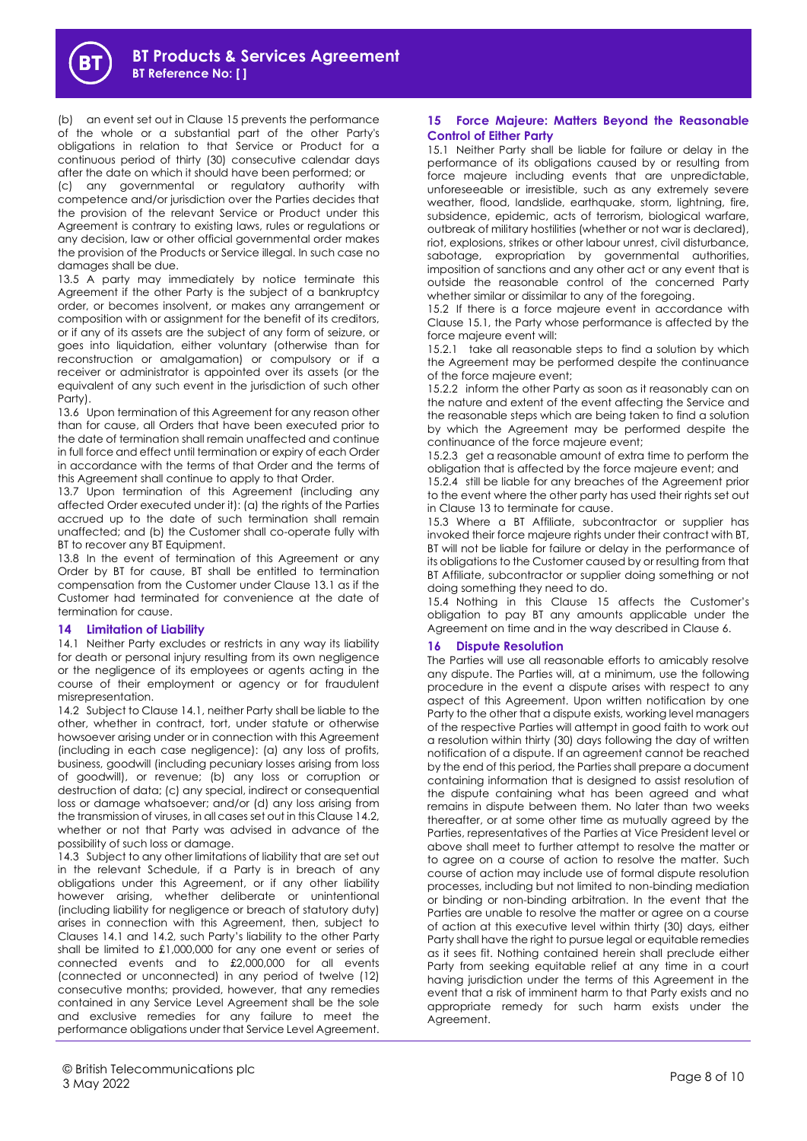(b) an event set out in Clause 15 prevents the performance of the whole or a substantial part of the other Party's obligations in relation to that Service or Product for a continuous period of thirty (30) consecutive calendar days after the date on which it should have been performed; or

(c) any governmental or regulatory authority with competence and/or jurisdiction over the Parties decides that the provision of the relevant Service or Product under this Agreement is contrary to existing laws, rules or regulations or any decision, law or other official governmental order makes the provision of the Products or Service illegal. In such case no damages shall be due.

13.5 A party may immediately by notice terminate this Agreement if the other Party is the subject of a bankruptcy order, or becomes insolvent, or makes any arrangement or composition with or assignment for the benefit of its creditors, or if any of its assets are the subject of any form of seizure, or goes into liquidation, either voluntary (otherwise than for reconstruction or amalgamation) or compulsory or if a receiver or administrator is appointed over its assets (or the equivalent of any such event in the jurisdiction of such other Party).

13.6 Upon termination of this Agreement for any reason other than for cause, all Orders that have been executed prior to the date of termination shall remain unaffected and continue in full force and effect until termination or expiry of each Order in accordance with the terms of that Order and the terms of this Agreement shall continue to apply to that Order.

13.7 Upon termination of this Agreement (including any affected Order executed under it): (a) the rights of the Parties accrued up to the date of such termination shall remain unaffected; and (b) the Customer shall co-operate fully with BT to recover any BT Equipment.

13.8 In the event of termination of this Agreement or any Order by BT for cause, BT shall be entitled to termination compensation from the Customer under Clause 13.1 as if the Customer had terminated for convenience at the date of termination for cause.

## **14 Limitation of Liability**

14.1 Neither Party excludes or restricts in any way its liability for death or personal injury resulting from its own negligence or the negligence of its employees or agents acting in the course of their employment or agency or for fraudulent misrepresentation.

14.2 Subject to Clause 14.1, neither Party shall be liable to the other, whether in contract, tort, under statute or otherwise howsoever arising under or in connection with this Agreement (including in each case negligence): (a) any loss of profits, business, goodwill (including pecuniary losses arising from loss of goodwill), or revenue; (b) any loss or corruption or destruction of data; (c) any special, indirect or consequential loss or damage whatsoever; and/or (d) any loss arising from the transmission of viruses, in all cases set out in this Clause 14.2, whether or not that Party was advised in advance of the possibility of such loss or damage.

14.3 Subject to any other limitations of liability that are set out in the relevant Schedule, if a Party is in breach of any obligations under this Agreement, or if any other liability however arising, whether deliberate or unintentional (including liability for negligence or breach of statutory duty) arises in connection with this Agreement, then, subject to Clauses 14.1 and 14.2, such Party's liability to the other Party shall be limited to £1,000,000 for any one event or series of connected events and to £2,000,000 for all events (connected or unconnected) in any period of twelve (12) consecutive months; provided, however, that any remedies contained in any Service Level Agreement shall be the sole and exclusive remedies for any failure to meet the performance obligations under that Service Level Agreement.

<span id="page-7-1"></span><span id="page-7-0"></span>15.1 Neither Party shall be liable for failure or delay in the performance of its obligations caused by or resulting from force majeure including events that are unpredictable, unforeseeable or irresistible, such as any extremely severe weather, flood, landslide, earthquake, storm, lightning, fire, subsidence, epidemic, acts of terrorism, biological warfare, outbreak of military hostilities (whether or not war is declared), riot, explosions, strikes or other labour unrest, civil disturbance, sabotage, expropriation by governmental authorities, imposition of sanctions and any other act or any event that is outside the reasonable control of the concerned Party whether similar or dissimilar to any of the foregoing.

15.2 If there is a force majeure event in accordance with Claus[e 15.1,](#page-7-0) the Party whose performance is affected by the force majeure event will:

15.2.1 take all reasonable steps to find a solution by which the Agreement may be performed despite the continuance of the force majeure event;

15.2.2 inform the other Party as soon as it reasonably can on the nature and extent of the event affecting the Service and the reasonable steps which are being taken to find a solution by which the Agreement may be performed despite the continuance of the force majeure event;

15.2.3 get a reasonable amount of extra time to perform the obligation that is affected by the force majeure event; and

15.2.4 still be liable for any breaches of the Agreement prior to the event where the other party has used their rights set out in Clause [13](#page-6-0) to terminate for cause.

15.3 Where a BT Affiliate, subcontractor or supplier has invoked their force majeure rights under their contract with BT, BT will not be liable for failure or delay in the performance of its obligations to the Customer caused by or resulting from that BT Affiliate, subcontractor or supplier doing something or not doing something they need to do.

15.4 Nothing in this Clause [15](#page-7-1) affects the Customer's obligation to pay BT any amounts applicable under the Agreement on time and in the way described in Clause [6.](#page-2-0)

## **16 Dispute Resolution**

The Parties will use all reasonable efforts to amicably resolve any dispute. The Parties will, at a minimum, use the following procedure in the event a dispute arises with respect to any aspect of this Agreement. Upon written notification by one Party to the other that a dispute exists, working level managers of the respective Parties will attempt in good faith to work out a resolution within thirty (30) days following the day of written notification of a dispute. If an agreement cannot be reached by the end of this period, the Parties shall prepare a document containing information that is designed to assist resolution of the dispute containing what has been agreed and what remains in dispute between them. No later than two weeks thereafter, or at some other time as mutually agreed by the Parties, representatives of the Parties at Vice President level or above shall meet to further attempt to resolve the matter or to agree on a course of action to resolve the matter. Such course of action may include use of formal dispute resolution processes, including but not limited to non-binding mediation or binding or non-binding arbitration. In the event that the Parties are unable to resolve the matter or agree on a course of action at this executive level within thirty (30) days, either Party shall have the right to pursue legal or equitable remedies as it sees fit. Nothing contained herein shall preclude either Party from seeking equitable relief at any time in a court having jurisdiction under the terms of this Agreement in the event that a risk of imminent harm to that Party exists and no appropriate remedy for such harm exists under the Agreement.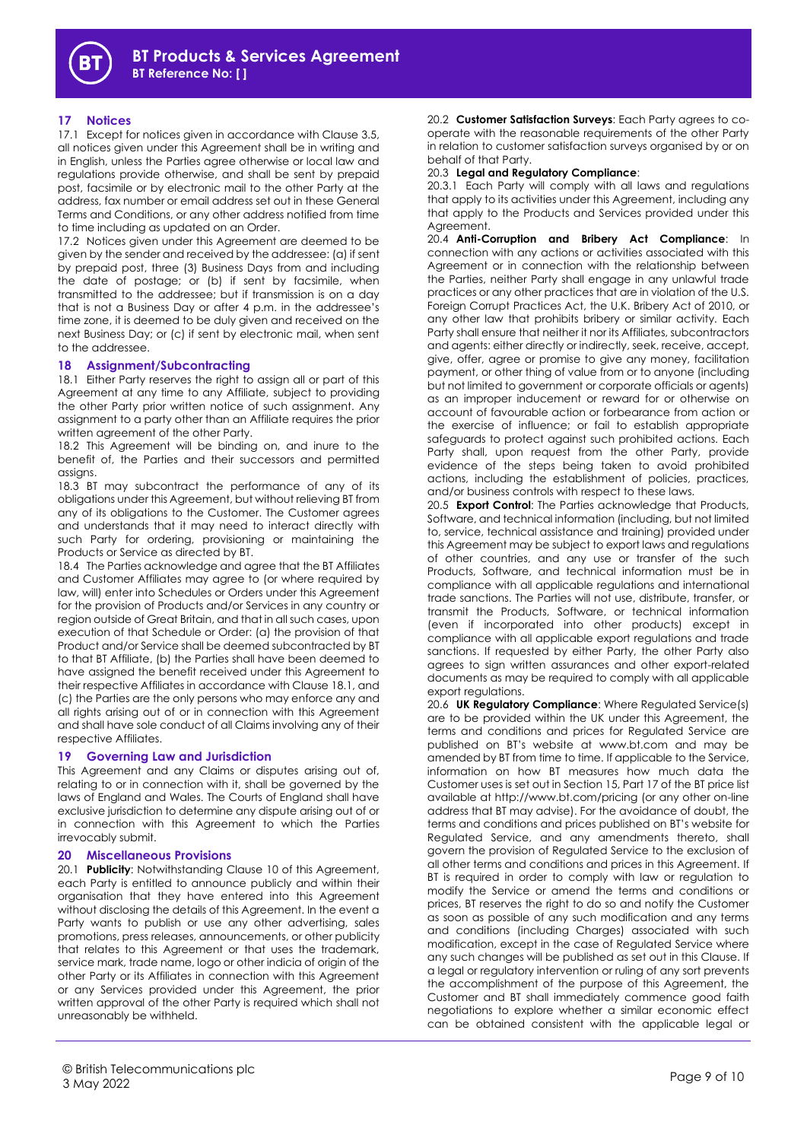# **17 Notices**

17.1 Except for notices given in accordance with Clause 3.5, all notices given under this Agreement shall be in writing and in English, unless the Parties agree otherwise or local law and regulations provide otherwise, and shall be sent by prepaid post, facsimile or by electronic mail to the other Party at the address, fax number or email address set out in these General Terms and Conditions, or any other address notified from time to time including as updated on an Order.

17.2 Notices given under this Agreement are deemed to be given by the sender and received by the addressee: (a) if sent by prepaid post, three (3) Business Days from and including the date of postage; or (b) if sent by facsimile, when transmitted to the addressee; but if transmission is on a day that is not a Business Day or after 4 p.m. in the addressee's time zone, it is deemed to be duly given and received on the next Business Day; or (c) if sent by electronic mail, when sent to the addressee.

#### **18 Assignment/Subcontracting**

18.1 Either Party reserves the right to assign all or part of this Agreement at any time to any Affiliate, subject to providing the other Party prior written notice of such assignment. Any assignment to a party other than an Affiliate requires the prior written agreement of the other Party.

18.2 This Agreement will be binding on, and inure to the benefit of, the Parties and their successors and permitted assigns.

18.3 BT may subcontract the performance of any of its obligations under this Agreement, but without relieving BT from any of its obligations to the Customer. The Customer agrees and understands that it may need to interact directly with such Party for ordering, provisioning or maintaining the Products or Service as directed by BT.

18.4 The Parties acknowledge and agree that the BT Affiliates and Customer Affiliates may agree to (or where required by law, will) enter into Schedules or Orders under this Agreement for the provision of Products and/or Services in any country or region outside of Great Britain, and that in all such cases, upon execution of that Schedule or Order: (a) the provision of that Product and/or Service shall be deemed subcontracted by BT to that BT Affiliate, (b) the Parties shall have been deemed to have assigned the benefit received under this Agreement to their respective Affiliates in accordance with Clause 18.1, and (c) the Parties are the only persons who may enforce any and all rights arising out of or in connection with this Agreement and shall have sole conduct of all Claims involving any of their respective Affiliates.

#### **19 Governing Law and Jurisdiction**

This Agreement and any Claims or disputes arising out of, relating to or in connection with it, shall be governed by the laws of England and Wales. The Courts of England shall have exclusive jurisdiction to determine any dispute arising out of or in connection with this Agreement to which the Parties irrevocably submit.

#### **20 Miscellaneous Provisions**

20.1 **Publicity**: Notwithstanding Clause 10 of this Agreement, each Party is entitled to announce publicly and within their organisation that they have entered into this Agreement without disclosing the details of this Agreement. In the event a Party wants to publish or use any other advertising, sales promotions, press releases, announcements, or other publicity that relates to this Agreement or that uses the trademark, service mark, trade name, logo or other indicia of origin of the other Party or its Affiliates in connection with this Agreement or any Services provided under this Agreement, the prior written approval of the other Party is required which shall not unreasonably be withheld.

20.2 **Customer Satisfaction Surveys**: Each Party agrees to cooperate with the reasonable requirements of the other Party in relation to customer satisfaction surveys organised by or on behalf of that Party.

20.3 **Legal and Regulatory Compliance**:

20.3.1 Each Party will comply with all laws and regulations that apply to its activities under this Agreement, including any that apply to the Products and Services provided under this Agreement.

20.4 **Anti-Corruption and Bribery Act Compliance**: In connection with any actions or activities associated with this Agreement or in connection with the relationship between the Parties, neither Party shall engage in any unlawful trade practices or any other practices that are in violation of the U.S. Foreign Corrupt Practices Act, the U.K. Bribery Act of 2010, or any other law that prohibits bribery or similar activity. Each Party shall ensure that neither it nor its Affiliates, subcontractors and agents: either directly or indirectly, seek, receive, accept, give, offer, agree or promise to give any money, facilitation payment, or other thing of value from or to anyone (including but not limited to government or corporate officials or agents) as an improper inducement or reward for or otherwise on account of favourable action or forbearance from action or the exercise of influence; or fail to establish appropriate safeguards to protect against such prohibited actions. Each Party shall, upon request from the other Party, provide evidence of the steps being taken to avoid prohibited actions, including the establishment of policies, practices, and/or business controls with respect to these laws.

20.5 **Export Control**: The Parties acknowledge that Products, Software, and technical information (including, but not limited to, service, technical assistance and training) provided under this Agreement may be subject to export laws and regulations of other countries, and any use or transfer of the such Products, Software, and technical information must be in compliance with all applicable regulations and international trade sanctions. The Parties will not use, distribute, transfer, or transmit the Products, Software, or technical information (even if incorporated into other products) except in compliance with all applicable export regulations and trade sanctions. If requested by either Party, the other Party also agrees to sign written assurances and other export-related documents as may be required to comply with all applicable export regulations.

20.6 **UK Regulatory Compliance**: Where Regulated Service(s) are to be provided within the UK under this Agreement, the terms and conditions and prices for Regulated Service are published on BT's website at www.bt.com and may be amended by BT from time to time. If applicable to the Service, information on how BT measures how much data the Customer uses is set out in Section 15, Part 17 of the BT price list available at http://www.bt.com/pricing (or any other on-line address that BT may advise). For the avoidance of doubt, the terms and conditions and prices published on BT's website for Regulated Service, and any amendments thereto, shall govern the provision of Regulated Service to the exclusion of all other terms and conditions and prices in this Agreement. If BT is required in order to comply with law or regulation to modify the Service or amend the terms and conditions or prices, BT reserves the right to do so and notify the Customer as soon as possible of any such modification and any terms and conditions (including Charges) associated with such modification, except in the case of Regulated Service where any such changes will be published as set out in this Clause. If a legal or regulatory intervention or ruling of any sort prevents the accomplishment of the purpose of this Agreement, the Customer and BT shall immediately commence good faith negotiations to explore whether a similar economic effect can be obtained consistent with the applicable legal or